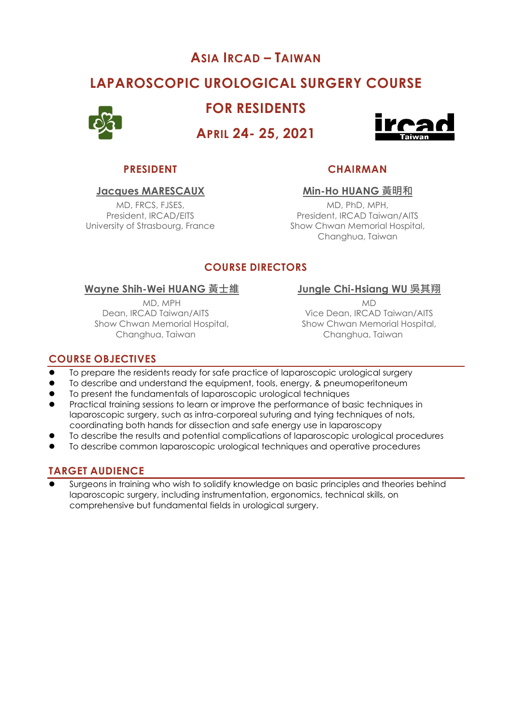# **ASIA IRCAD – TAIWAN**

# **LAPAROSCOPIC UROLOGICAL SURGERY COURSE**



**FOR RESIDENTS**

**APRIL 24- 25, 2021**



MD, FRCS, FJSES, President, IRCAD/EITS

# **PRESIDENT CHAIRMAN**

### **Jacques MARESCAUX Min-Ho HUANG 黃明和**

MD, PhD, MPH, President, IRCAD Taiwan/AITS University of Strasbourg, France Show Chwan Memorial Hospital, Changhua, Taiwan

# **COURSE DIRECTORS**

### **Wayne Shih-Wei HUANG 黃士維 Jungle Chi-Hsiang WU 吳其翔**

MD, MPH Dean, IRCAD Taiwan/AITS Show Chwan Memorial Hospital, Changhua, Taiwan

MD

Vice Dean, IRCAD Taiwan/AITS Show Chwan Memorial Hospital, Changhua, Taiwan

## **COURSE OBJECTIVES**

- To prepare the residents ready for safe practice of laparoscopic urological surgery
- ⚫ To describe and understand the equipment, tools, energy, & pneumoperitoneum
- ⚫ To present the fundamentals of laparoscopic urological techniques
- ⚫ Practical training sessions to learn or improve the performance of basic techniques in laparoscopic surgery, such as intra-corporeal suturing and tying techniques of nots, coordinating both hands for dissection and safe energy use in laparoscopy
- ⚫ To describe the results and potential complications of laparoscopic urological procedures
- ⚫ To describe common laparoscopic urological techniques and operative procedures

# **TARGET AUDIENCE**

Surgeons in training who wish to solidify knowledge on basic principles and theories behind laparoscopic surgery, including instrumentation, ergonomics, technical skills, on comprehensive but fundamental fields in urological surgery.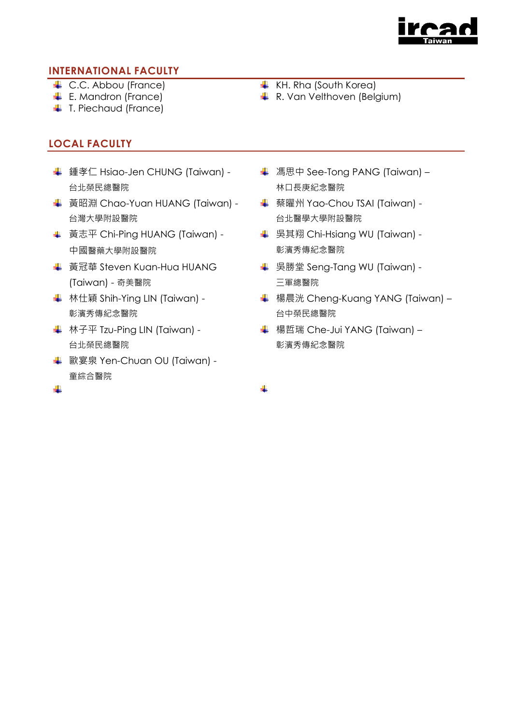

## **INTERNATIONAL FACULTY**

- 
- 
- **↓** T. Piechaud (France)

# **LOCAL FACULTY**

- ↓ 鍾孝仁 Hsiao-Jen CHUNG (Taiwan) -台北榮民總醫院
- **↓ 黃昭淵 Chao-Yuan HUANG (Taiwan) -**台灣大學附設醫院
- **↓ 黃志平 Chi-Ping HUANG (Taiwan) -**中國醫藥大學附設醫院
- **↓ 黃冠華 Steven Kuan-Hua HUANG** (Taiwan) - 奇美醫院
- **↓ 林仕穎 Shih-Ying LIN (Taiwan) -**彰濱秀傳紀念醫院
- **↓ 林子平 Tzu-Ping LIN (Taiwan) -**台北榮民總醫院
- **↓ 歐宴泉 Yen-Chuan OU (Taiwan) -**童綜合醫院
- ↓ C.C. Abbou (France) KH. Rha (South Korea)
- $\downarrow$  E. Mandron (France)  $\downarrow$  R. Van Velthoven (Belgium)
	- **↓ 馮思中 See-Tong PANG (Taiwan)** 林口長庚紀念醫院
	- 蔡曜州 Yao-Chou TSAI (Taiwan) 台北醫學大學附設醫院
	- **↓ 吴其翔 Chi-Hsiang WU (Taiwan) -**彰濱秀傳紀念醫院
	- **↓ 吴勝堂 Seng-Tang WU (Taiwan) -**三軍總醫院
	- **↓ 楊晨洸 Cheng-Kuang YANG (Taiwan)** 台中榮民總醫院
	- **↓ 楊哲瑞 Che-Jui YANG (Taiwan)** 彰濱秀傳紀念醫院

÷

÷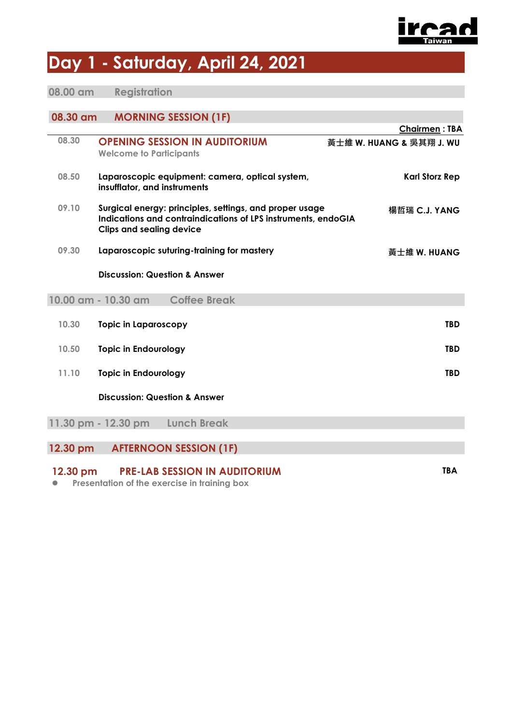

# **Day 1 - Saturday, April 24, 2021**

# **08.00 am Registration**

# **08.30 am MORNING SESSION (1F)**

|                                                                |                                          |                                                                                                                          | <b>Chairmen: TBA</b>     |  |  |
|----------------------------------------------------------------|------------------------------------------|--------------------------------------------------------------------------------------------------------------------------|--------------------------|--|--|
| 08.30                                                          | <b>Welcome to Participants</b>           | <b>OPENING SESSION IN AUDITORIUM</b>                                                                                     | 黃士維 W. HUANG & 吳其翔 J. WU |  |  |
| 08.50                                                          | insufflator, and instruments             | Laparoscopic equipment: camera, optical system,                                                                          | <b>Karl Storz Rep</b>    |  |  |
| 09.10                                                          | <b>Clips and sealing device</b>          | Surgical energy: principles, settings, and proper usage<br>Indications and contraindications of LPS instruments, endoGIA | 楊哲瑞 C.J. YANG            |  |  |
| 09.30                                                          |                                          | Laparoscopic suturing-training for mastery                                                                               | 黃士維 W. HUANG             |  |  |
|                                                                | <b>Discussion: Question &amp; Answer</b> |                                                                                                                          |                          |  |  |
|                                                                | 10.00 am - 10.30 am                      | <b>Coffee Break</b>                                                                                                      |                          |  |  |
| 10.30                                                          | <b>Topic in Laparoscopy</b>              |                                                                                                                          | <b>TBD</b>               |  |  |
| 10.50                                                          | <b>Topic in Endourology</b>              |                                                                                                                          | <b>TBD</b>               |  |  |
| 11.10                                                          | <b>Topic in Endourology</b>              |                                                                                                                          | <b>TBD</b>               |  |  |
|                                                                | <b>Discussion: Question &amp; Answer</b> |                                                                                                                          |                          |  |  |
|                                                                | 11.30 pm - 12.30 pm                      | <b>Lunch Break</b>                                                                                                       |                          |  |  |
| 12.30 pm                                                       |                                          | <b>AFTERNOON SESSION (1F)</b>                                                                                            |                          |  |  |
|                                                                |                                          |                                                                                                                          |                          |  |  |
| <b>TBA</b><br><b>PRE-LAB SESSION IN AUDITORIUM</b><br>12.30 pm |                                          |                                                                                                                          |                          |  |  |

⚫ **Presentation of the exercise in training box**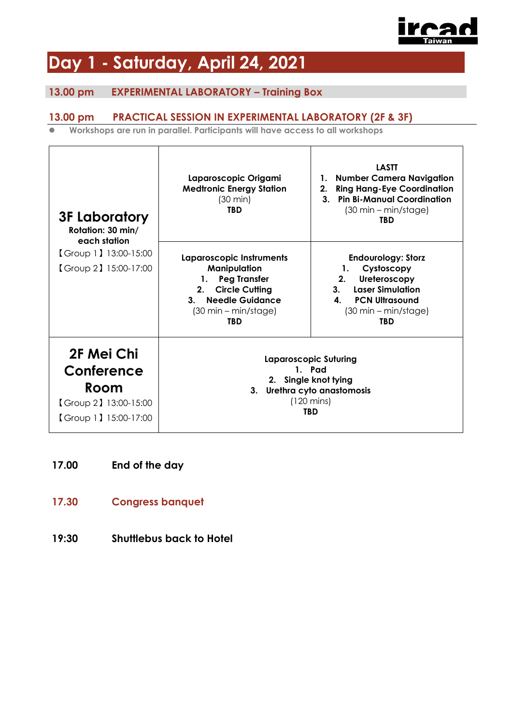

# **Day 1 - Saturday, April 24, 2021**

# **13.00 pm EXPERIMENTAL LABORATORY – Training Box**

## **13.00 pm PRACTICAL SESSION IN EXPERIMENTAL LABORATORY (2F & 3F)**

⚫ **Workshops are run in parallel. Participants will have access to all workshops**

| <b>3F Laboratory</b><br>Rotation: 30 min/<br>each station                          | Laparoscopic Origami<br><b>Medtronic Energy Station</b><br>$(30 \text{ min})$<br><b>TBD</b>                                                                                       | <b>LASTT</b><br>1. Number Camera Navigation<br><b>Ring Hang-Eye Coordination</b><br>2.<br>3. Pin Bi-Manual Coordination<br>$(30 \text{ min} - \text{min/stage})$<br><b>TBD</b>                       |  |
|------------------------------------------------------------------------------------|-----------------------------------------------------------------------------------------------------------------------------------------------------------------------------------|------------------------------------------------------------------------------------------------------------------------------------------------------------------------------------------------------|--|
| 【Group 1】13:00-15:00<br>Group 2 15:00-17:00                                        | Laparoscopic Instruments<br>Manipulation<br><b>Peg Transfer</b><br>1.<br><b>Circle Cutting</b><br>2.<br>3. Needle Guidance<br>$(30 \text{ min} - \text{min/stage})$<br><b>TBD</b> | <b>Endourology: Storz</b><br>Cystoscopy<br>1.<br>Ureteroscopy<br>2.<br><b>Laser Simulation</b><br>3.<br>$\mathbf{A}$<br><b>PCN Ultrasound</b><br>$(30 \text{ min} - \text{min/stage})$<br><b>TBD</b> |  |
| 2F Mei Chi<br>Conference<br>Room<br>Group 2   13:00-15:00<br>[Group 1] 15:00-17:00 |                                                                                                                                                                                   | <b>Laparoscopic Suturing</b><br>1. Pad<br>2. Single knot tying<br>3. Urethra cyto anastomosis<br>$(120 \text{ mins})$<br><b>TBD</b>                                                                  |  |

- **17.00 End of the day**
- **17.30 Congress banquet**
- **19:30 Shuttlebus back to Hotel**